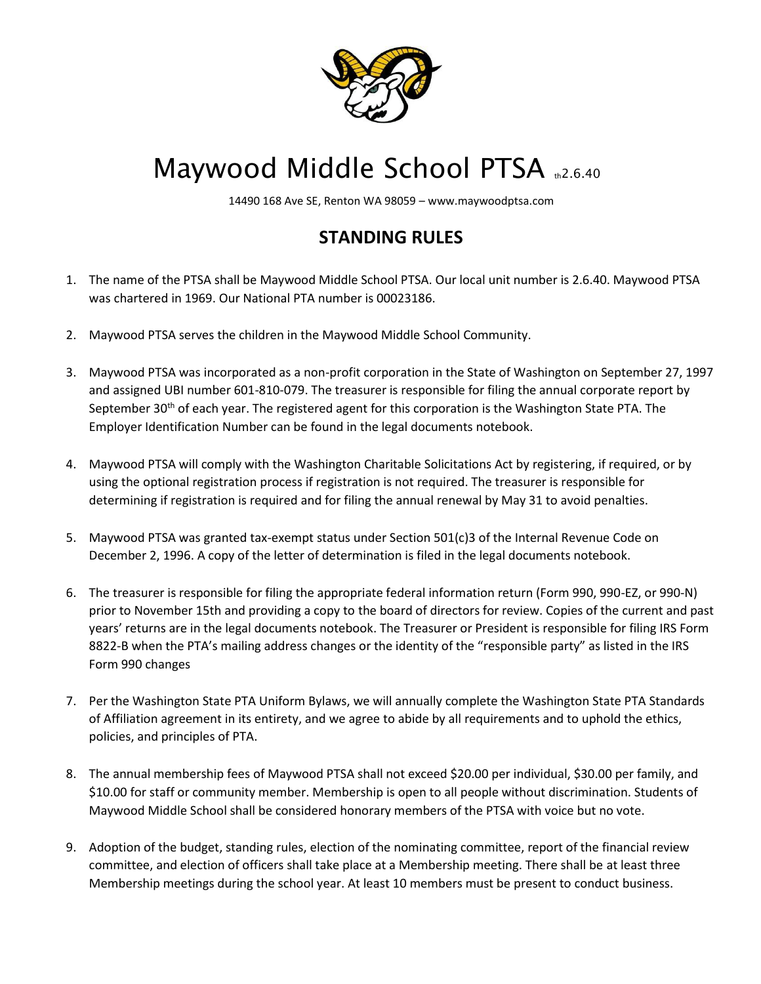

## Maywood Middle School PTSA th2.6.40

14490 168 Ave SE, Renton WA 98059 – [www.maywoodptsa.com](http://www.maywoodptsa.com/) 

## **STANDING RULES**

- 1. The name of the PTSA shall be Maywood Middle School PTSA. Our local unit number is 2.6.40. Maywood PTSA was chartered in 1969. Our National PTA number is 00023186.
- 2. Maywood PTSA serves the children in the Maywood Middle School Community.
- 3. Maywood PTSA was incorporated as a non-profit corporation in the State of Washington on September 27, 1997 and assigned UBI number 601-810-079. The treasurer is responsible for filing the annual corporate report by September 30<sup>th</sup> of each year. The registered agent for this corporation is the Washington State PTA. The Employer Identification Number can be found in the legal documents notebook.
- 4. Maywood PTSA will comply with the Washington Charitable Solicitations Act by registering, if required, or by using the optional registration process if registration is not required. The treasurer is responsible for determining if registration is required and for filing the annual renewal by May 31 to avoid penalties.
- 5. Maywood PTSA was granted tax-exempt status under Section 501(c)3 of the Internal Revenue Code on December 2, 1996. A copy of the letter of determination is filed in the legal documents notebook.
- 6. The treasurer is responsible for filing the appropriate federal information return (Form 990, 990-EZ, or 990-N) prior to November 15th and providing a copy to the board of directors for review. Copies of the current and past years' returns are in the legal documents notebook. The Treasurer or President is responsible for filing IRS Form 8822-B when the PTA's mailing address changes or the identity of the "responsible party" as listed in the IRS Form 990 changes
- 7. Per the Washington State PTA Uniform Bylaws, we will annually complete the Washington State PTA Standards of Affiliation agreement in its entirety, and we agree to abide by all requirements and to uphold the ethics, policies, and principles of PTA.
- 8. The annual membership fees of Maywood PTSA shall not exceed \$20.00 per individual, \$30.00 per family, and \$10.00 for staff or community member. Membership is open to all people without discrimination. Students of Maywood Middle School shall be considered honorary members of the PTSA with voice but no vote.
- 9. Adoption of the budget, standing rules, election of the nominating committee, report of the financial review committee, and election of officers shall take place at a Membership meeting. There shall be at least three Membership meetings during the school year. At least 10 members must be present to conduct business.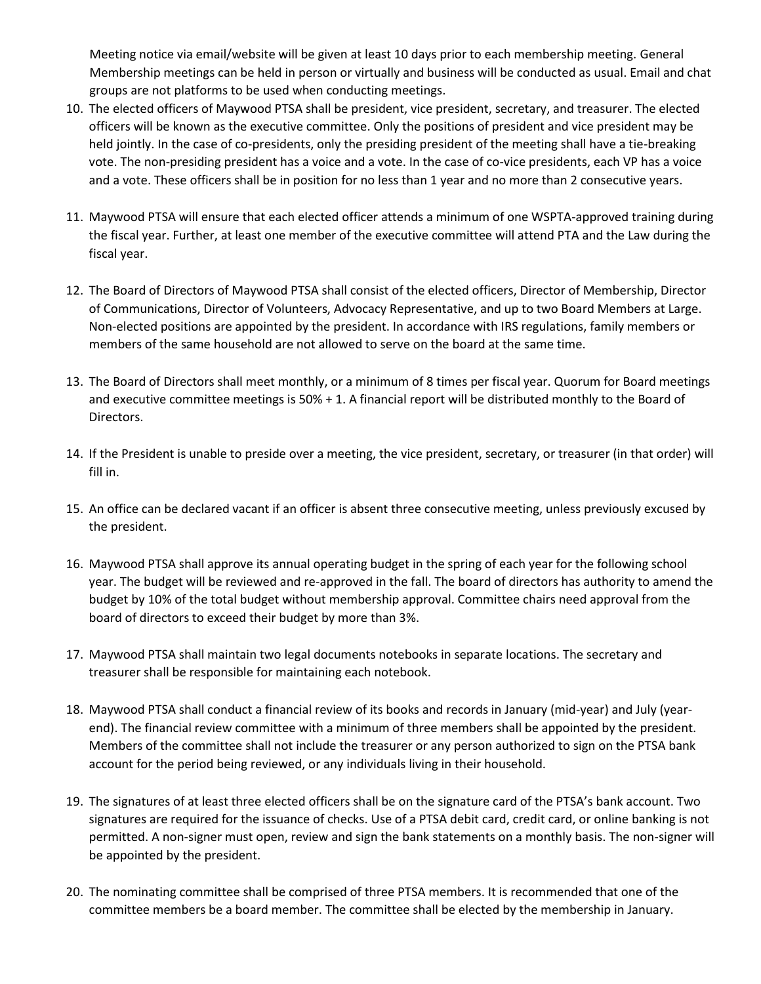Meeting notice via email/website will be given at least 10 days prior to each membership meeting. General Membership meetings can be held in person or virtually and business will be conducted as usual. Email and chat groups are not platforms to be used when conducting meetings.

- 10. The elected officers of Maywood PTSA shall be president, vice president, secretary, and treasurer. The elected officers will be known as the executive committee. Only the positions of president and vice president may be held jointly. In the case of co-presidents, only the presiding president of the meeting shall have a tie-breaking vote. The non-presiding president has a voice and a vote. In the case of co-vice presidents, each VP has a voice and a vote. These officers shall be in position for no less than 1 year and no more than 2 consecutive years.
- 11. Maywood PTSA will ensure that each elected officer attends a minimum of one WSPTA-approved training during the fiscal year. Further, at least one member of the executive committee will attend PTA and the Law during the fiscal year.
- 12. The Board of Directors of Maywood PTSA shall consist of the elected officers, Director of Membership, Director of Communications, Director of Volunteers, Advocacy Representative, and up to two Board Members at Large. Non-elected positions are appointed by the president. In accordance with IRS regulations, family members or members of the same household are not allowed to serve on the board at the same time.
- 13. The Board of Directors shall meet monthly, or a minimum of 8 times per fiscal year. Quorum for Board meetings and executive committee meetings is 50% + 1. A financial report will be distributed monthly to the Board of Directors.
- 14. If the President is unable to preside over a meeting, the vice president, secretary, or treasurer (in that order) will fill in.
- 15. An office can be declared vacant if an officer is absent three consecutive meeting, unless previously excused by the president.
- 16. Maywood PTSA shall approve its annual operating budget in the spring of each year for the following school year. The budget will be reviewed and re-approved in the fall. The board of directors has authority to amend the budget by 10% of the total budget without membership approval. Committee chairs need approval from the board of directors to exceed their budget by more than 3%.
- 17. Maywood PTSA shall maintain two legal documents notebooks in separate locations. The secretary and treasurer shall be responsible for maintaining each notebook.
- 18. Maywood PTSA shall conduct a financial review of its books and records in January (mid-year) and July (yearend). The financial review committee with a minimum of three members shall be appointed by the president. Members of the committee shall not include the treasurer or any person authorized to sign on the PTSA bank account for the period being reviewed, or any individuals living in their household.
- 19. The signatures of at least three elected officers shall be on the signature card of the PTSA's bank account. Two signatures are required for the issuance of checks. Use of a PTSA debit card, credit card, or online banking is not permitted. A non-signer must open, review and sign the bank statements on a monthly basis. The non-signer will be appointed by the president.
- 20. The nominating committee shall be comprised of three PTSA members. It is recommended that one of the committee members be a board member. The committee shall be elected by the membership in January.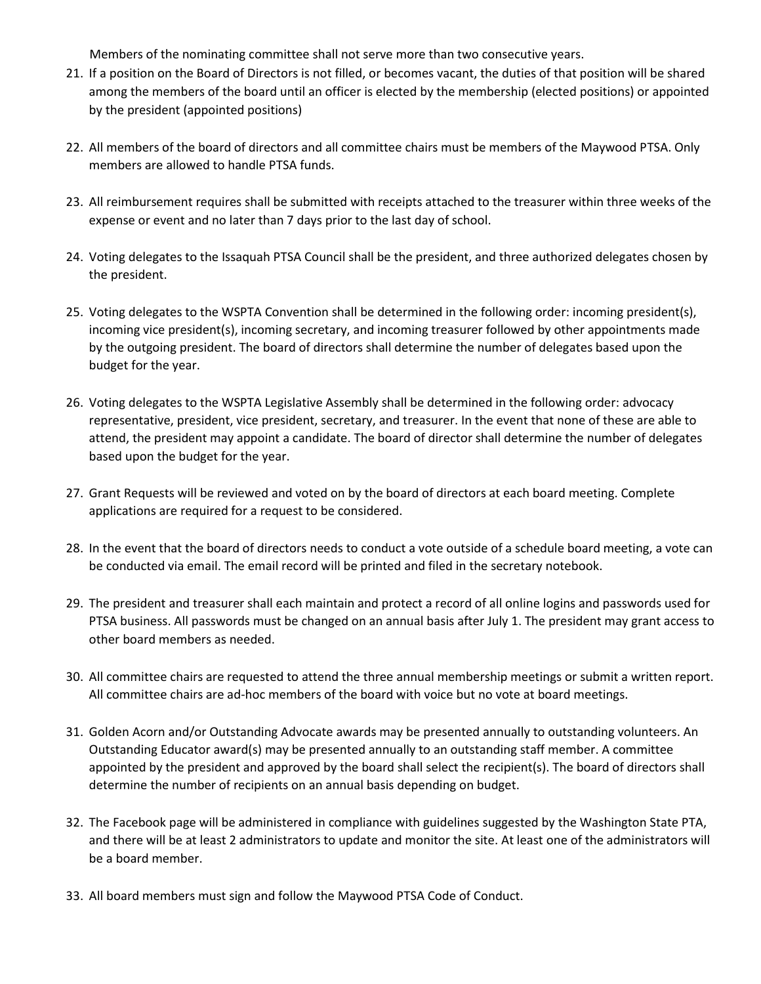Members of the nominating committee shall not serve more than two consecutive years.

- 21. If a position on the Board of Directors is not filled, or becomes vacant, the duties of that position will be shared among the members of the board until an officer is elected by the membership (elected positions) or appointed by the president (appointed positions)
- 22. All members of the board of directors and all committee chairs must be members of the Maywood PTSA. Only members are allowed to handle PTSA funds.
- 23. All reimbursement requires shall be submitted with receipts attached to the treasurer within three weeks of the expense or event and no later than 7 days prior to the last day of school.
- 24. Voting delegates to the Issaquah PTSA Council shall be the president, and three authorized delegates chosen by the president.
- 25. Voting delegates to the WSPTA Convention shall be determined in the following order: incoming president(s), incoming vice president(s), incoming secretary, and incoming treasurer followed by other appointments made by the outgoing president. The board of directors shall determine the number of delegates based upon the budget for the year.
- 26. Voting delegates to the WSPTA Legislative Assembly shall be determined in the following order: advocacy representative, president, vice president, secretary, and treasurer. In the event that none of these are able to attend, the president may appoint a candidate. The board of director shall determine the number of delegates based upon the budget for the year.
- 27. Grant Requests will be reviewed and voted on by the board of directors at each board meeting. Complete applications are required for a request to be considered.
- 28. In the event that the board of directors needs to conduct a vote outside of a schedule board meeting, a vote can be conducted via email. The email record will be printed and filed in the secretary notebook.
- 29. The president and treasurer shall each maintain and protect a record of all online logins and passwords used for PTSA business. All passwords must be changed on an annual basis after July 1. The president may grant access to other board members as needed.
- 30. All committee chairs are requested to attend the three annual membership meetings or submit a written report. All committee chairs are ad-hoc members of the board with voice but no vote at board meetings.
- 31. Golden Acorn and/or Outstanding Advocate awards may be presented annually to outstanding volunteers. An Outstanding Educator award(s) may be presented annually to an outstanding staff member. A committee appointed by the president and approved by the board shall select the recipient(s). The board of directors shall determine the number of recipients on an annual basis depending on budget.
- 32. The Facebook page will be administered in compliance with guidelines suggested by the Washington State PTA, and there will be at least 2 administrators to update and monitor the site. At least one of the administrators will be a board member.
- 33. All board members must sign and follow the Maywood PTSA Code of Conduct.